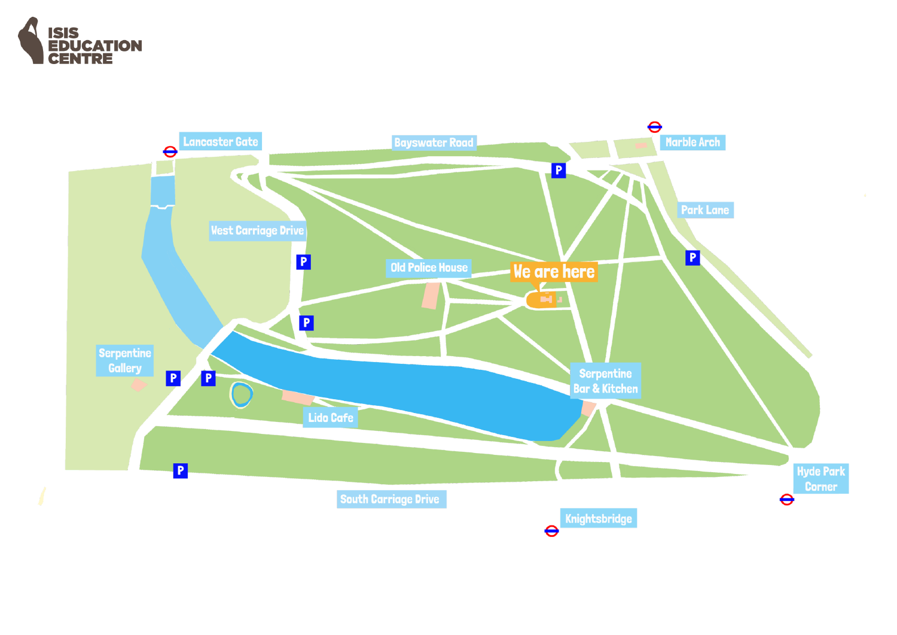